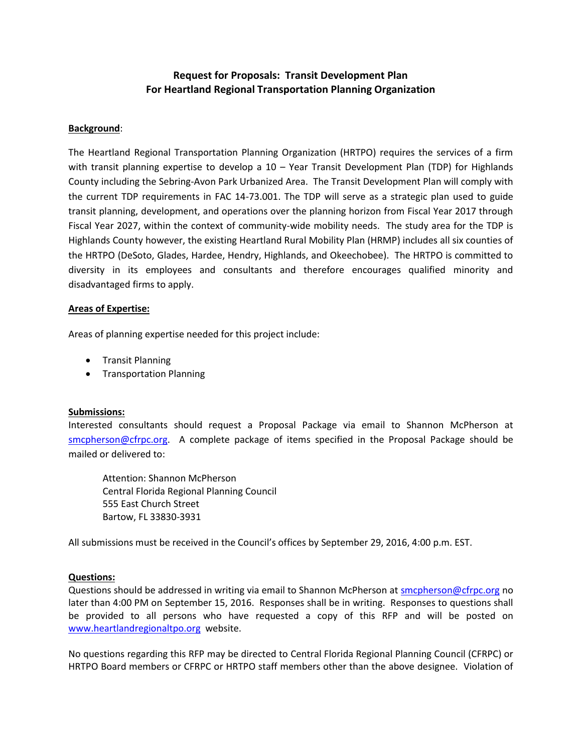# **Request for Proposals: Transit Development Plan For Heartland Regional Transportation Planning Organization**

## **Background**:

The Heartland Regional Transportation Planning Organization (HRTPO) requires the services of a firm with transit planning expertise to develop a 10 – Year Transit Development Plan (TDP) for Highlands County including the Sebring-Avon Park Urbanized Area. The Transit Development Plan will comply with the current TDP requirements in FAC 14-73.001. The TDP will serve as a strategic plan used to guide transit planning, development, and operations over the planning horizon from Fiscal Year 2017 through Fiscal Year 2027, within the context of community-wide mobility needs. The study area for the TDP is Highlands County however, the existing Heartland Rural Mobility Plan (HRMP) includes all six counties of the HRTPO (DeSoto, Glades, Hardee, Hendry, Highlands, and Okeechobee). The HRTPO is committed to diversity in its employees and consultants and therefore encourages qualified minority and disadvantaged firms to apply.

#### **Areas of Expertise:**

Areas of planning expertise needed for this project include:

- **•** Transit Planning
- **•** Transportation Planning

## **Submissions:**

Interested consultants should request a Proposal Package via email to Shannon McPherson at [smcpherson@cfrpc.org.](mailto:smcpherson@cfrpc.org) A complete package of items specified in the Proposal Package should be mailed or delivered to:

Attention: Shannon McPherson Central Florida Regional Planning Council 555 East Church Street Bartow, FL 33830-3931

All submissions must be received in the Council's offices by September 29, 2016, 4:00 p.m. EST.

## **Questions:**

Questions should be addressed in writing via email to Shannon McPherson a[t smcpherson@cfrpc.org](mailto:smcpherson@cfrpc.org) no later than 4:00 PM on September 15, 2016. Responses shall be in writing. Responses to questions shall be provided to all persons who have requested a copy of this RFP and will be posted on [www.heartlandregionaltpo.org](http://www.heartlandregionaltpo.org/) website.

No questions regarding this RFP may be directed to Central Florida Regional Planning Council (CFRPC) or HRTPO Board members or CFRPC or HRTPO staff members other than the above designee. Violation of